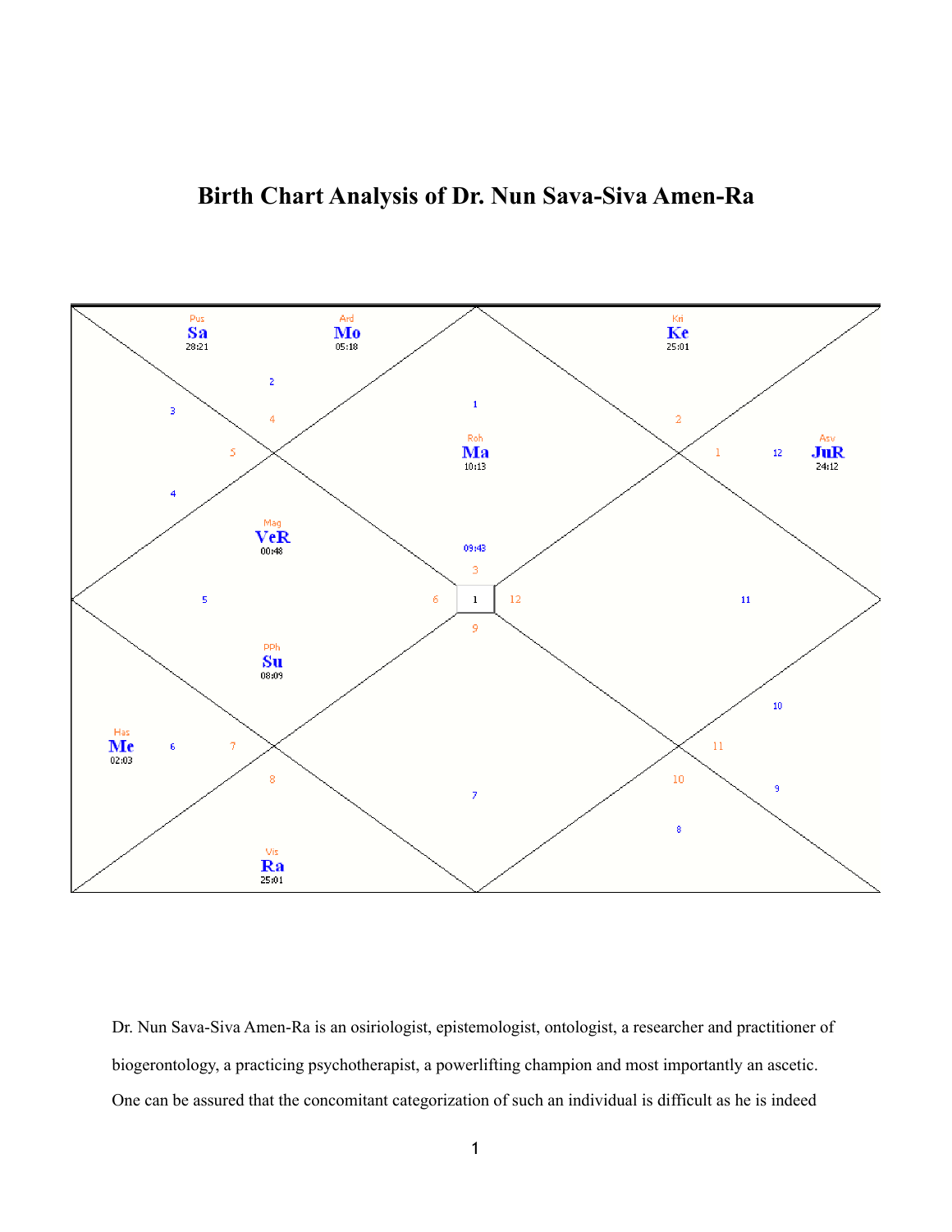## **Birth Chart Analysis of Dr. Nun Sava-Siva Amen-Ra**



Dr. Nun Sava-Siva Amen-Ra is an osiriologist, epistemologist, ontologist, a researcher and practitioner of biogerontology, a practicing psychotherapist, a powerlifting champion and most importantly an ascetic. One can be assured that the concomitant categorization of such an individual is difficult as he is indeed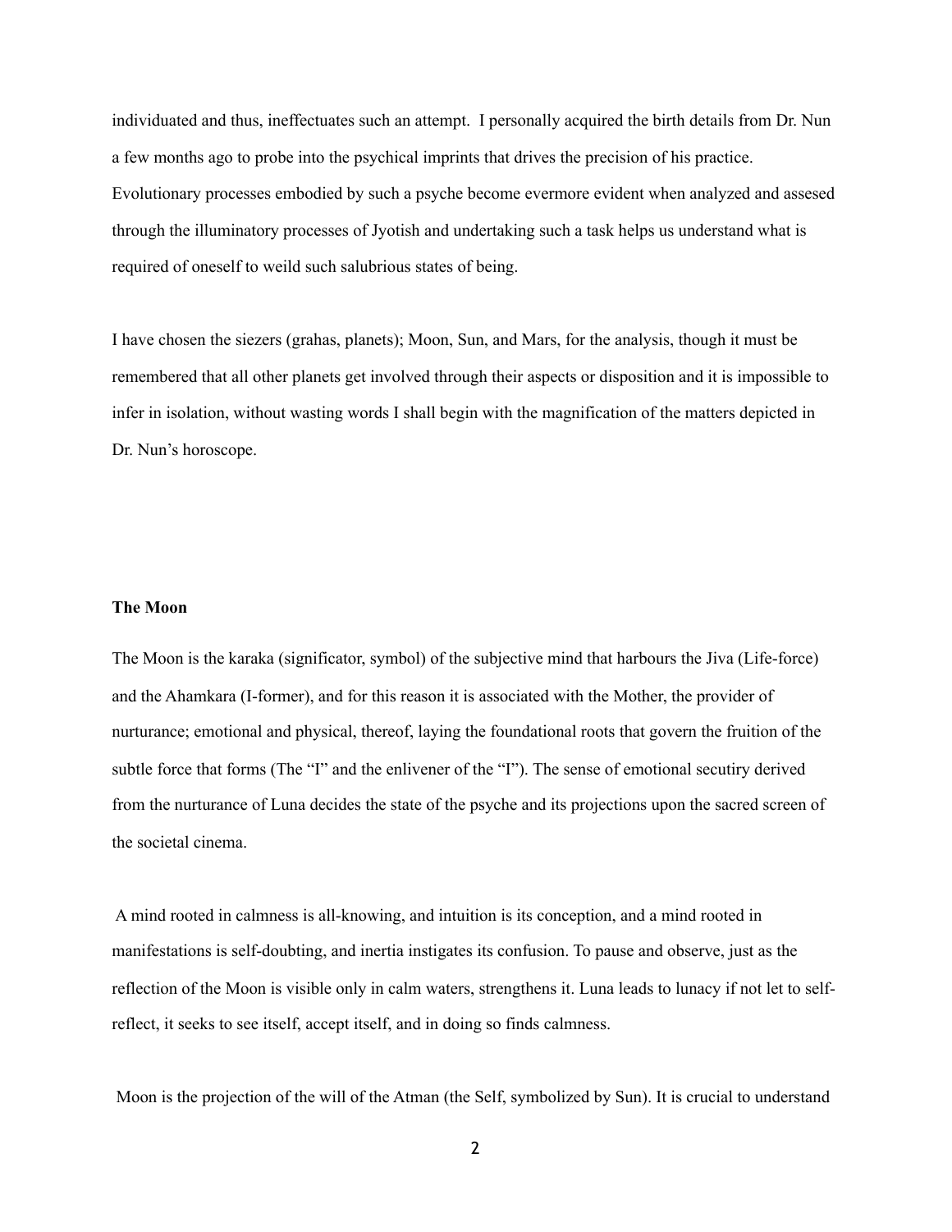individuated and thus, ineffectuates such an attempt. I personally acquired the birth details from Dr. Nun a few months ago to probe into the psychical imprints that drives the precision of his practice. Evolutionary processes embodied by such a psyche become evermore evident when analyzed and assesed through the illuminatory processes of Jyotish and undertaking such a task helps us understand what is required of oneself to weild such salubrious states of being.

I have chosen the siezers (grahas, planets); Moon, Sun, and Mars, for the analysis, though it must be remembered that all other planets get involved through their aspects or disposition and it is impossible to infer in isolation, without wasting words I shall begin with the magnification of the matters depicted in Dr. Nun's horoscope.

## **The Moon**

The Moon is the karaka (significator, symbol) of the subjective mind that harbours the Jiva (Life-force) and the Ahamkara (I-former), and for this reason it is associated with the Mother, the provider of nurturance; emotional and physical, thereof, laying the foundational roots that govern the fruition of the subtle force that forms (The "I" and the enlivener of the "I"). The sense of emotional secutiry derived from the nurturance of Luna decides the state of the psyche and its projections upon the sacred screen of the societal cinema.

 A mind rooted in calmness is all-knowing, and intuition is its conception, and a mind rooted in manifestations is self-doubting, and inertia instigates its confusion. To pause and observe, just as the reflection of the Moon is visible only in calm waters, strengthens it. Luna leads to lunacy if not let to selfreflect, it seeks to see itself, accept itself, and in doing so finds calmness.

Moon is the projection of the will of the Atman (the Self, symbolized by Sun). It is crucial to understand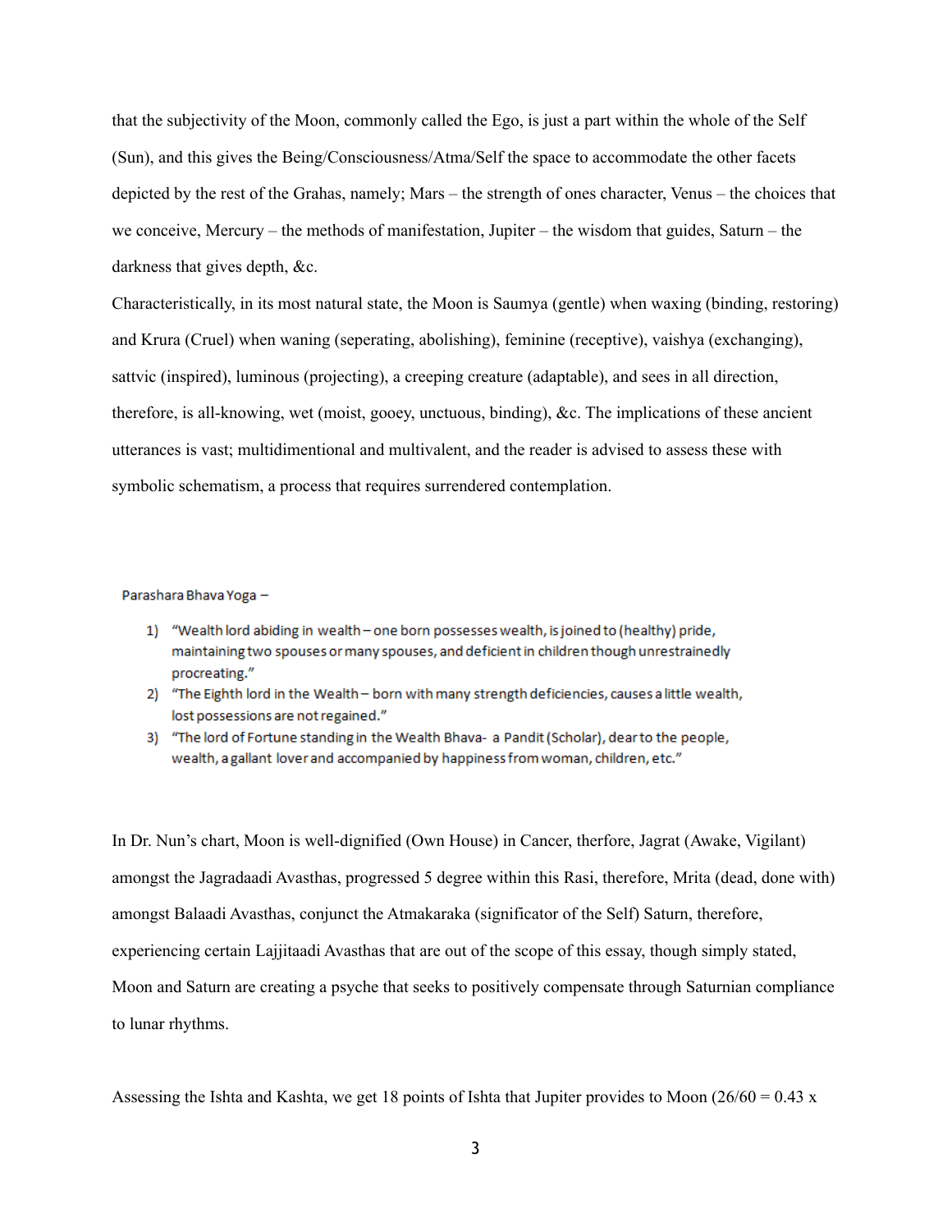that the subjectivity of the Moon, commonly called the Ego, is just a part within the whole of the Self (Sun), and this gives the Being/Consciousness/Atma/Self the space to accommodate the other facets depicted by the rest of the Grahas, namely; Mars – the strength of ones character, Venus – the choices that we conceive, Mercury – the methods of manifestation, Jupiter – the wisdom that guides, Saturn – the darkness that gives depth, &c.

Characteristically, in its most natural state, the Moon is Saumya (gentle) when waxing (binding, restoring) and Krura (Cruel) when waning (seperating, abolishing), feminine (receptive), vaishya (exchanging), sattvic (inspired), luminous (projecting), a creeping creature (adaptable), and sees in all direction, therefore, is all-knowing, wet (moist, gooey, unctuous, binding), &c. The implications of these ancient utterances is vast; multidimentional and multivalent, and the reader is advised to assess these with symbolic schematism, a process that requires surrendered contemplation.

Parashara Bhava Yoga -

- 1) "Wealth lord abiding in wealth one born possesses wealth, is joined to (healthy) pride, maintaining two spouses or many spouses, and deficient in children though unrestrainedly procreating."
- 2) "The Eighth lord in the Wealth born with many strength deficiencies, causes a little wealth, lost possessions are not regained."
- 3) "The lord of Fortune standing in the Wealth Bhava- a Pandit (Scholar), dearto the people, wealth, a gallant lover and accompanied by happiness from woman, children, etc."

In Dr. Nun's chart, Moon is well-dignified (Own House) in Cancer, therfore, Jagrat (Awake, Vigilant) amongst the Jagradaadi Avasthas, progressed 5 degree within this Rasi, therefore, Mrita (dead, done with) amongst Balaadi Avasthas, conjunct the Atmakaraka (significator of the Self) Saturn, therefore, experiencing certain Lajjitaadi Avasthas that are out of the scope of this essay, though simply stated, Moon and Saturn are creating a psyche that seeks to positively compensate through Saturnian compliance to lunar rhythms.

Assessing the Ishta and Kashta, we get 18 points of Ishta that Jupiter provides to Moon (26/60 = 0.43 x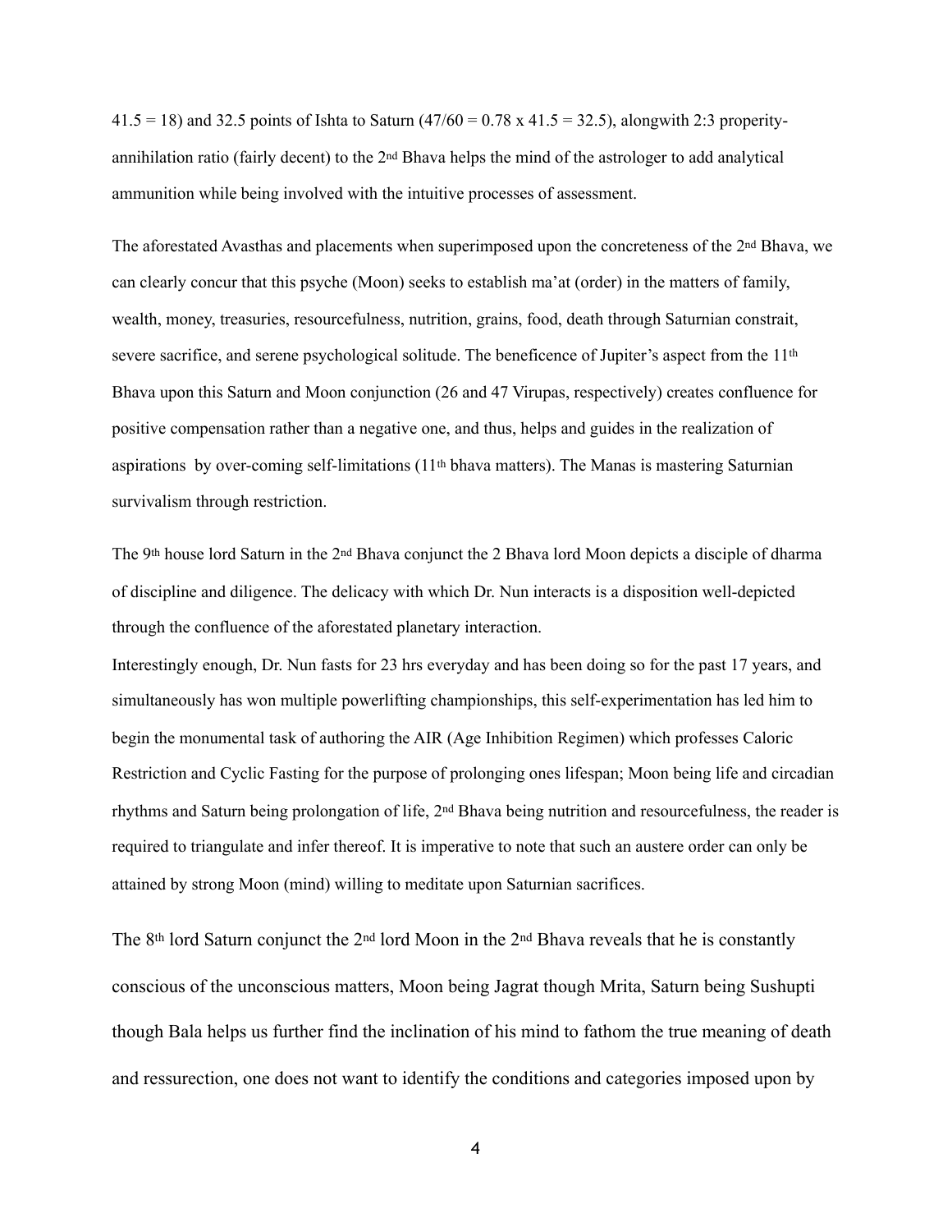$41.5 = 18$ ) and 32.5 points of Ishta to Saturn (47/60 = 0.78 x 41.5 = 32.5), alongwith 2:3 properityannihilation ratio (fairly decent) to the 2nd Bhava helps the mind of the astrologer to add analytical ammunition while being involved with the intuitive processes of assessment.

The aforestated Avasthas and placements when superimposed upon the concreteness of the 2nd Bhava, we can clearly concur that this psyche (Moon) seeks to establish ma'at (order) in the matters of family, wealth, money, treasuries, resourcefulness, nutrition, grains, food, death through Saturnian constrait, severe sacrifice, and serene psychological solitude. The beneficence of Jupiter's aspect from the 11th Bhava upon this Saturn and Moon conjunction (26 and 47 Virupas, respectively) creates confluence for positive compensation rather than a negative one, and thus, helps and guides in the realization of aspirations by over-coming self-limitations  $(11<sup>th</sup>$  bhava matters). The Manas is mastering Saturnian survivalism through restriction.

The 9th house lord Saturn in the 2nd Bhava conjunct the 2 Bhava lord Moon depicts a disciple of dharma of discipline and diligence. The delicacy with which Dr. Nun interacts is a disposition well-depicted through the confluence of the aforestated planetary interaction.

Interestingly enough, Dr. Nun fasts for 23 hrs everyday and has been doing so for the past 17 years, and simultaneously has won multiple powerlifting championships, this self-experimentation has led him to begin the monumental task of authoring the AIR (Age Inhibition Regimen) which professes Caloric Restriction and Cyclic Fasting for the purpose of prolonging ones lifespan; Moon being life and circadian rhythms and Saturn being prolongation of life, 2nd Bhava being nutrition and resourcefulness, the reader is required to triangulate and infer thereof. It is imperative to note that such an austere order can only be attained by strong Moon (mind) willing to meditate upon Saturnian sacrifices.

The 8th lord Saturn conjunct the 2nd lord Moon in the 2nd Bhava reveals that he is constantly conscious of the unconscious matters, Moon being Jagrat though Mrita, Saturn being Sushupti though Bala helps us further find the inclination of his mind to fathom the true meaning of death and ressurection, one does not want to identify the conditions and categories imposed upon by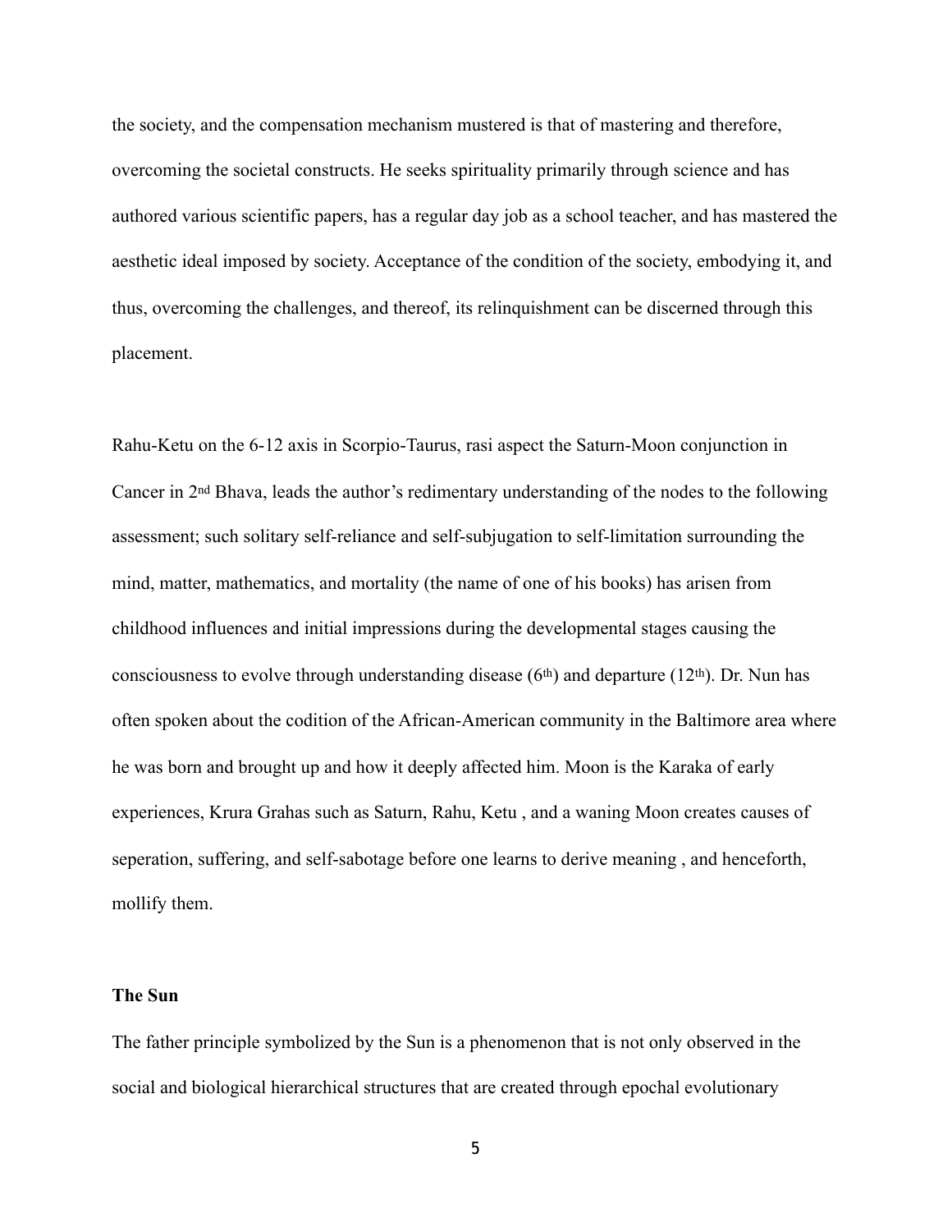the society, and the compensation mechanism mustered is that of mastering and therefore, overcoming the societal constructs. He seeks spirituality primarily through science and has authored various scientific papers, has a regular day job as a school teacher, and has mastered the aesthetic ideal imposed by society. Acceptance of the condition of the society, embodying it, and thus, overcoming the challenges, and thereof, its relinquishment can be discerned through this placement.

Rahu-Ketu on the 6-12 axis in Scorpio-Taurus, rasi aspect the Saturn-Moon conjunction in Cancer in 2nd Bhava, leads the author's redimentary understanding of the nodes to the following assessment; such solitary self-reliance and self-subjugation to self-limitation surrounding the mind, matter, mathematics, and mortality (the name of one of his books) has arisen from childhood influences and initial impressions during the developmental stages causing the consciousness to evolve through understanding disease  $(6<sup>th</sup>)$  and departure  $(12<sup>th</sup>)$ . Dr. Nun has often spoken about the codition of the African-American community in the Baltimore area where he was born and brought up and how it deeply affected him. Moon is the Karaka of early experiences, Krura Grahas such as Saturn, Rahu, Ketu , and a waning Moon creates causes of seperation, suffering, and self-sabotage before one learns to derive meaning , and henceforth, mollify them.

## **The Sun**

The father principle symbolized by the Sun is a phenomenon that is not only observed in the social and biological hierarchical structures that are created through epochal evolutionary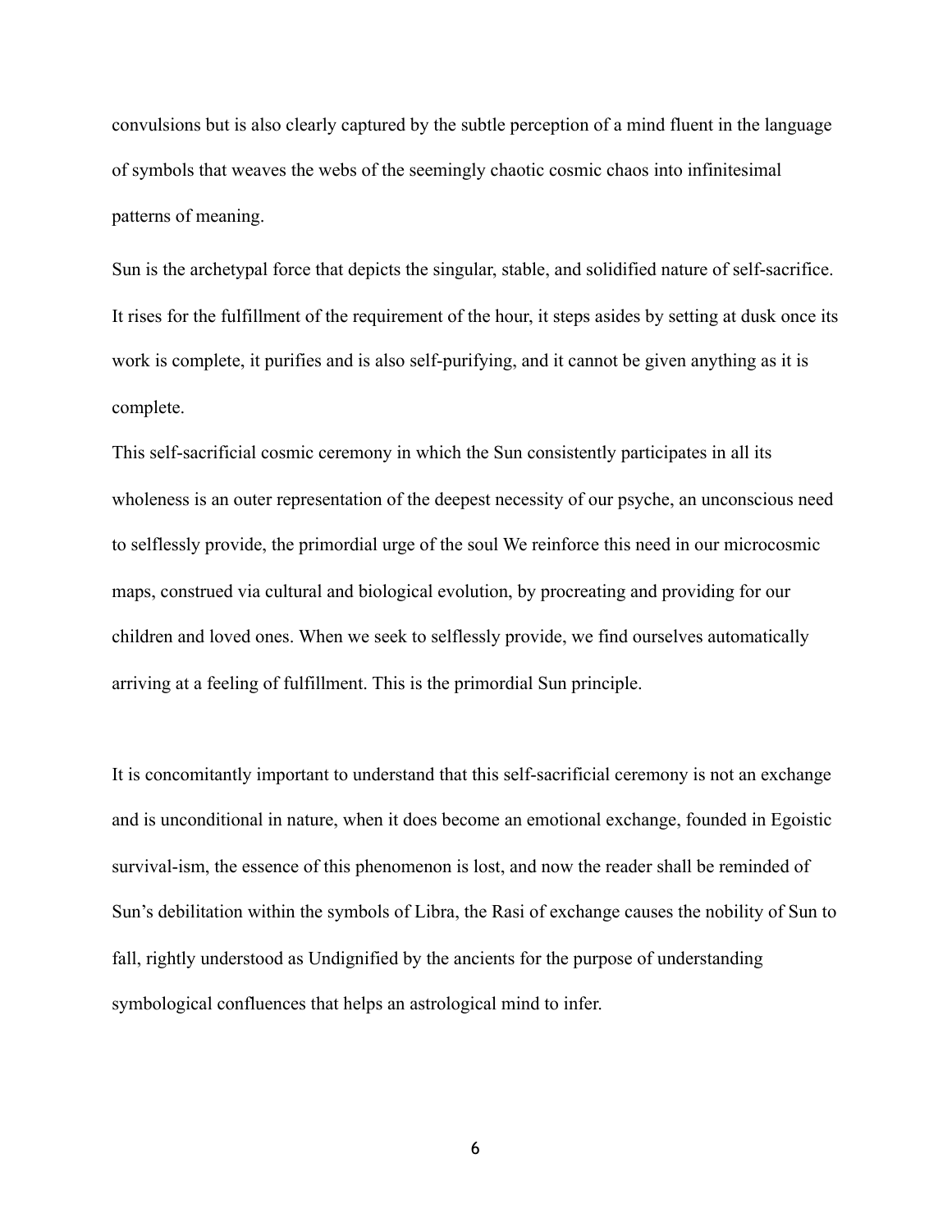convulsions but is also clearly captured by the subtle perception of a mind fluent in the language of symbols that weaves the webs of the seemingly chaotic cosmic chaos into infinitesimal patterns of meaning.

Sun is the archetypal force that depicts the singular, stable, and solidified nature of self-sacrifice. It rises for the fulfillment of the requirement of the hour, it steps asides by setting at dusk once its work is complete, it purifies and is also self-purifying, and it cannot be given anything as it is complete.

This self-sacrificial cosmic ceremony in which the Sun consistently participates in all its wholeness is an outer representation of the deepest necessity of our psyche, an unconscious need to selflessly provide, the primordial urge of the soul We reinforce this need in our microcosmic maps, construed via cultural and biological evolution, by procreating and providing for our children and loved ones. When we seek to selflessly provide, we find ourselves automatically arriving at a feeling of fulfillment. This is the primordial Sun principle.

It is concomitantly important to understand that this self-sacrificial ceremony is not an exchange and is unconditional in nature, when it does become an emotional exchange, founded in Egoistic survival-ism, the essence of this phenomenon is lost, and now the reader shall be reminded of Sun's debilitation within the symbols of Libra, the Rasi of exchange causes the nobility of Sun to fall, rightly understood as Undignified by the ancients for the purpose of understanding symbological confluences that helps an astrological mind to infer.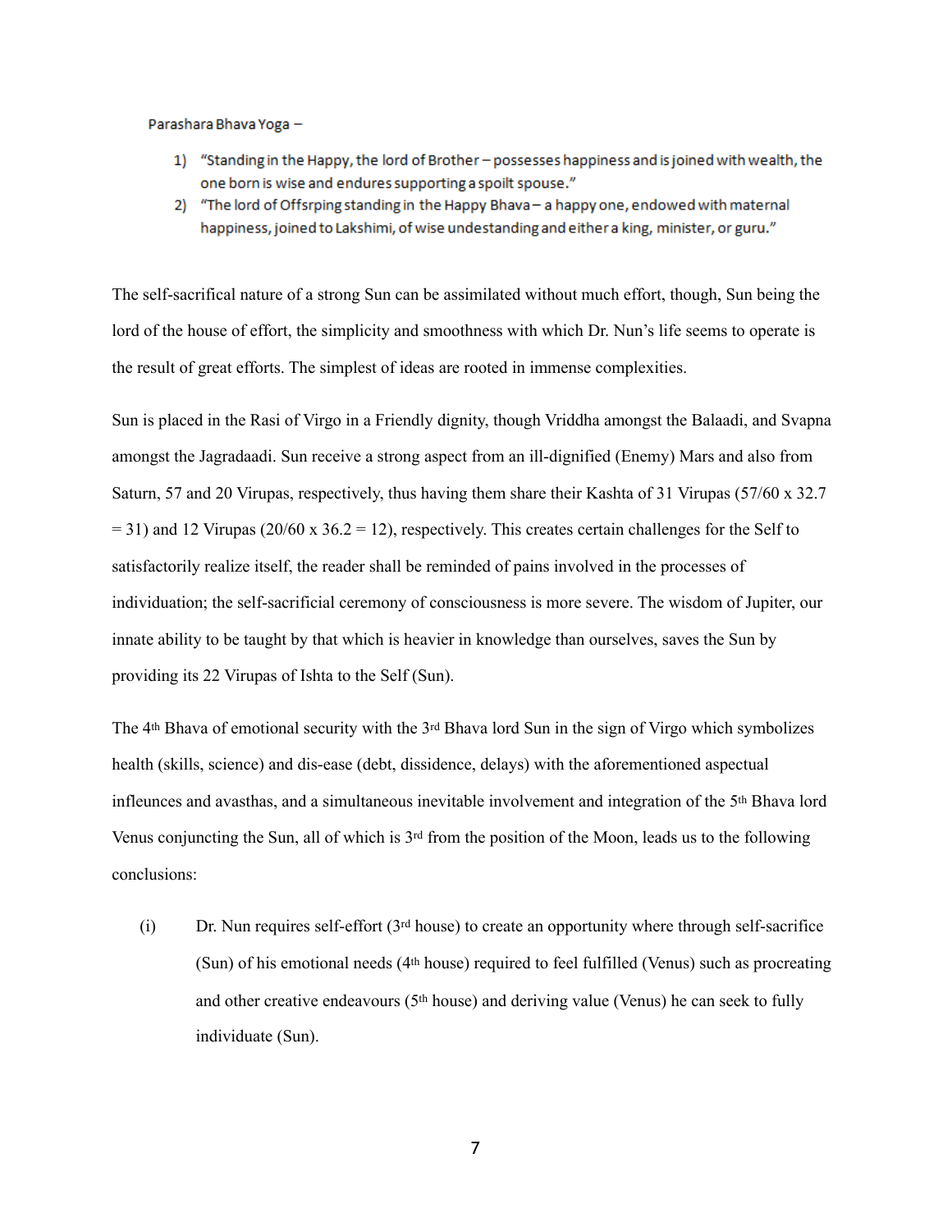Parashara Bhava Yoga -

- 1) "Standing in the Happy, the lord of Brother possesses happiness and is joined with wealth, the one born is wise and endures supporting a spoilt spouse."
- 2) "The lord of Offsrping standing in the Happy Bhava a happy one, endowed with maternal happiness, joined to Lakshimi, of wise undestanding and either a king, minister, or guru."

The self-sacrifical nature of a strong Sun can be assimilated without much effort, though, Sun being the lord of the house of effort, the simplicity and smoothness with which Dr. Nun's life seems to operate is the result of great efforts. The simplest of ideas are rooted in immense complexities.

Sun is placed in the Rasi of Virgo in a Friendly dignity, though Vriddha amongst the Balaadi, and Svapna amongst the Jagradaadi. Sun receive a strong aspect from an ill-dignified (Enemy) Mars and also from Saturn, 57 and 20 Virupas, respectively, thus having them share their Kashta of 31 Virupas (57/60 x 32.7  $= 31$ ) and 12 Virupas (20/60 x 36.2 = 12), respectively. This creates certain challenges for the Self to satisfactorily realize itself, the reader shall be reminded of pains involved in the processes of individuation; the self-sacrificial ceremony of consciousness is more severe. The wisdom of Jupiter, our innate ability to be taught by that which is heavier in knowledge than ourselves, saves the Sun by providing its 22 Virupas of Ishta to the Self (Sun).

The 4th Bhava of emotional security with the 3rd Bhava lord Sun in the sign of Virgo which symbolizes health (skills, science) and dis-ease (debt, dissidence, delays) with the aforementioned aspectual infleunces and avasthas, and a simultaneous inevitable involvement and integration of the 5th Bhava lord Venus conjuncting the Sun, all of which is 3rd from the position of the Moon, leads us to the following conclusions:

(i) Dr. Nun requires self-effort  $(3^{rd}$  house) to create an opportunity where through self-sacrifice (Sun) of his emotional needs (4th house) required to feel fulfilled (Venus) such as procreating and other creative endeavours (5th house) and deriving value (Venus) he can seek to fully individuate (Sun).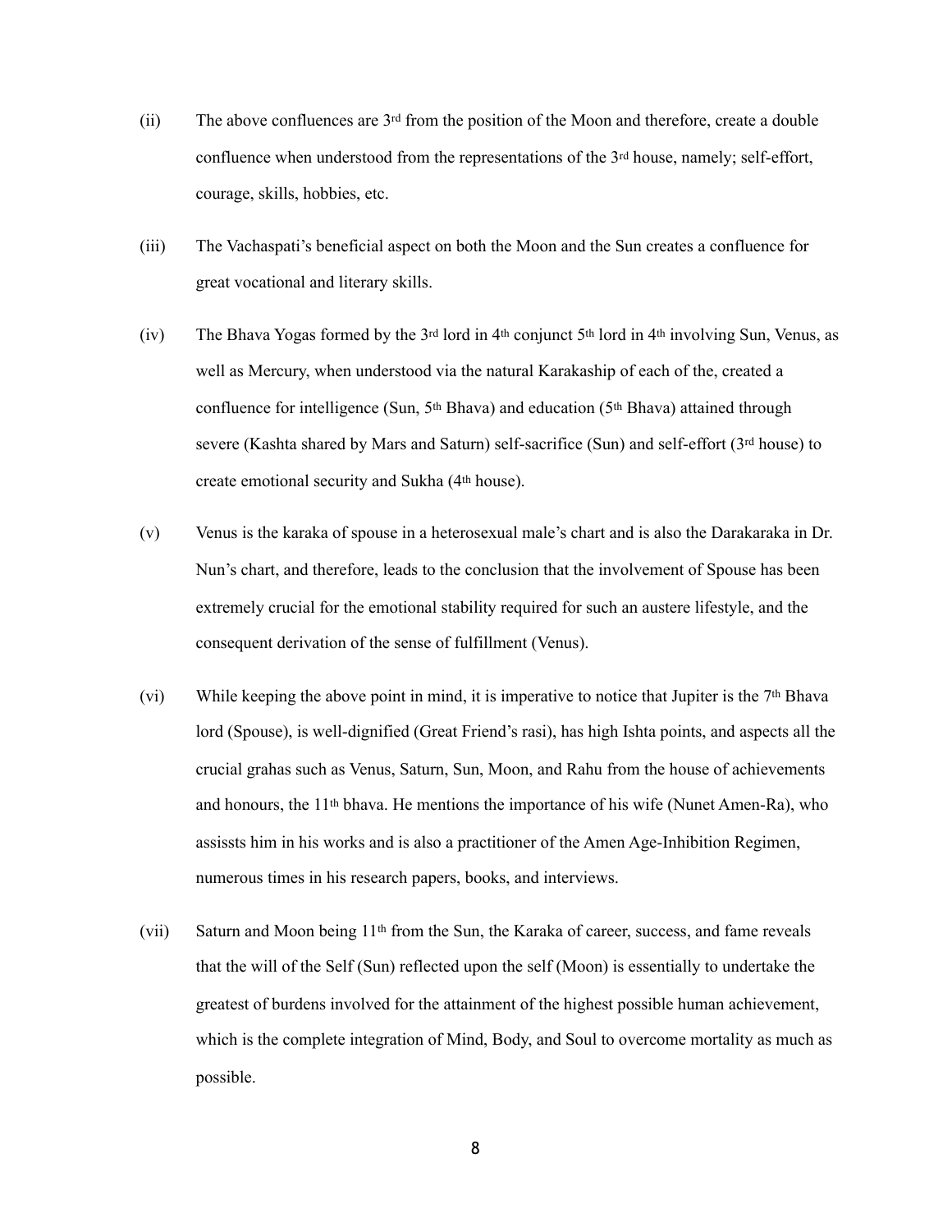- (ii) The above confluences are 3rd from the position of the Moon and therefore, create a double confluence when understood from the representations of the 3<sup>rd</sup> house, namely; self-effort, courage, skills, hobbies, etc.
- (iii) The Vachaspati's beneficial aspect on both the Moon and the Sun creates a confluence for great vocational and literary skills.
- (iv) The Bhava Yogas formed by the 3<sup>rd</sup> lord in 4<sup>th</sup> conjunct 5<sup>th</sup> lord in 4<sup>th</sup> involving Sun, Venus, as well as Mercury, when understood via the natural Karakaship of each of the, created a confluence for intelligence (Sun, 5<sup>th</sup> Bhava) and education (5<sup>th</sup> Bhava) attained through severe (Kashta shared by Mars and Saturn) self-sacrifice (Sun) and self-effort (3rd house) to create emotional security and Sukha (4th house).
- (v) Venus is the karaka of spouse in a heterosexual male's chart and is also the Darakaraka in Dr. Nun's chart, and therefore, leads to the conclusion that the involvement of Spouse has been extremely crucial for the emotional stability required for such an austere lifestyle, and the consequent derivation of the sense of fulfillment (Venus).
- (vi) While keeping the above point in mind, it is imperative to notice that Jupiter is the  $7<sup>th</sup> B$ hava lord (Spouse), is well-dignified (Great Friend's rasi), has high Ishta points, and aspects all the crucial grahas such as Venus, Saturn, Sun, Moon, and Rahu from the house of achievements and honours, the  $11<sup>th</sup>$  bhava. He mentions the importance of his wife (Nunet Amen-Ra), who assissts him in his works and is also a practitioner of the Amen Age-Inhibition Regimen, numerous times in his research papers, books, and interviews.
- (vii) Saturn and Moon being 11th from the Sun, the Karaka of career, success, and fame reveals that the will of the Self (Sun) reflected upon the self (Moon) is essentially to undertake the greatest of burdens involved for the attainment of the highest possible human achievement, which is the complete integration of Mind, Body, and Soul to overcome mortality as much as possible.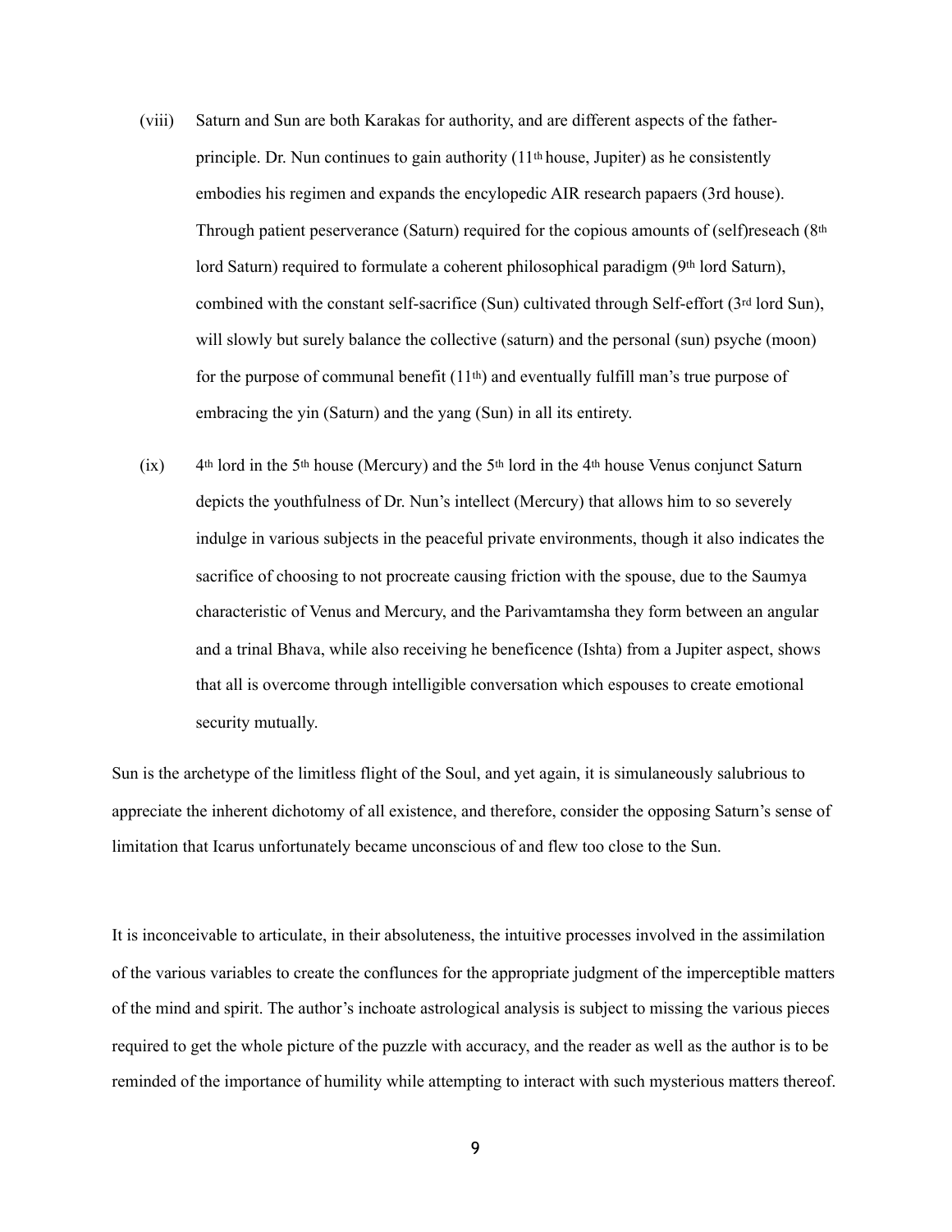- (viii) Saturn and Sun are both Karakas for authority, and are different aspects of the fatherprinciple. Dr. Nun continues to gain authority (11th house, Jupiter) as he consistently embodies his regimen and expands the encylopedic AIR research papaers (3rd house). Through patient peserverance (Saturn) required for the copious amounts of (self)reseach (8th lord Saturn) required to formulate a coherent philosophical paradigm  $(9<sup>th</sup>$  lord Saturn), combined with the constant self-sacrifice (Sun) cultivated through Self-effort  $(3<sup>rd</sup>$  lord Sun), will slowly but surely balance the collective (saturn) and the personal (sun) psyche (moon) for the purpose of communal benefit  $(11<sup>th</sup>)$  and eventually fulfill man's true purpose of embracing the yin (Saturn) and the yang (Sun) in all its entirety.
- $(ix)$  4<sup>th</sup> lord in the 5<sup>th</sup> house (Mercury) and the 5<sup>th</sup> lord in the 4<sup>th</sup> house Venus conjunct Saturn depicts the youthfulness of Dr. Nun's intellect (Mercury) that allows him to so severely indulge in various subjects in the peaceful private environments, though it also indicates the sacrifice of choosing to not procreate causing friction with the spouse, due to the Saumya characteristic of Venus and Mercury, and the Parivamtamsha they form between an angular and a trinal Bhava, while also receiving he beneficence (Ishta) from a Jupiter aspect, shows that all is overcome through intelligible conversation which espouses to create emotional security mutually.

Sun is the archetype of the limitless flight of the Soul, and yet again, it is simulaneously salubrious to appreciate the inherent dichotomy of all existence, and therefore, consider the opposing Saturn's sense of limitation that Icarus unfortunately became unconscious of and flew too close to the Sun.

It is inconceivable to articulate, in their absoluteness, the intuitive processes involved in the assimilation of the various variables to create the conflunces for the appropriate judgment of the imperceptible matters of the mind and spirit. The author's inchoate astrological analysis is subject to missing the various pieces required to get the whole picture of the puzzle with accuracy, and the reader as well as the author is to be reminded of the importance of humility while attempting to interact with such mysterious matters thereof.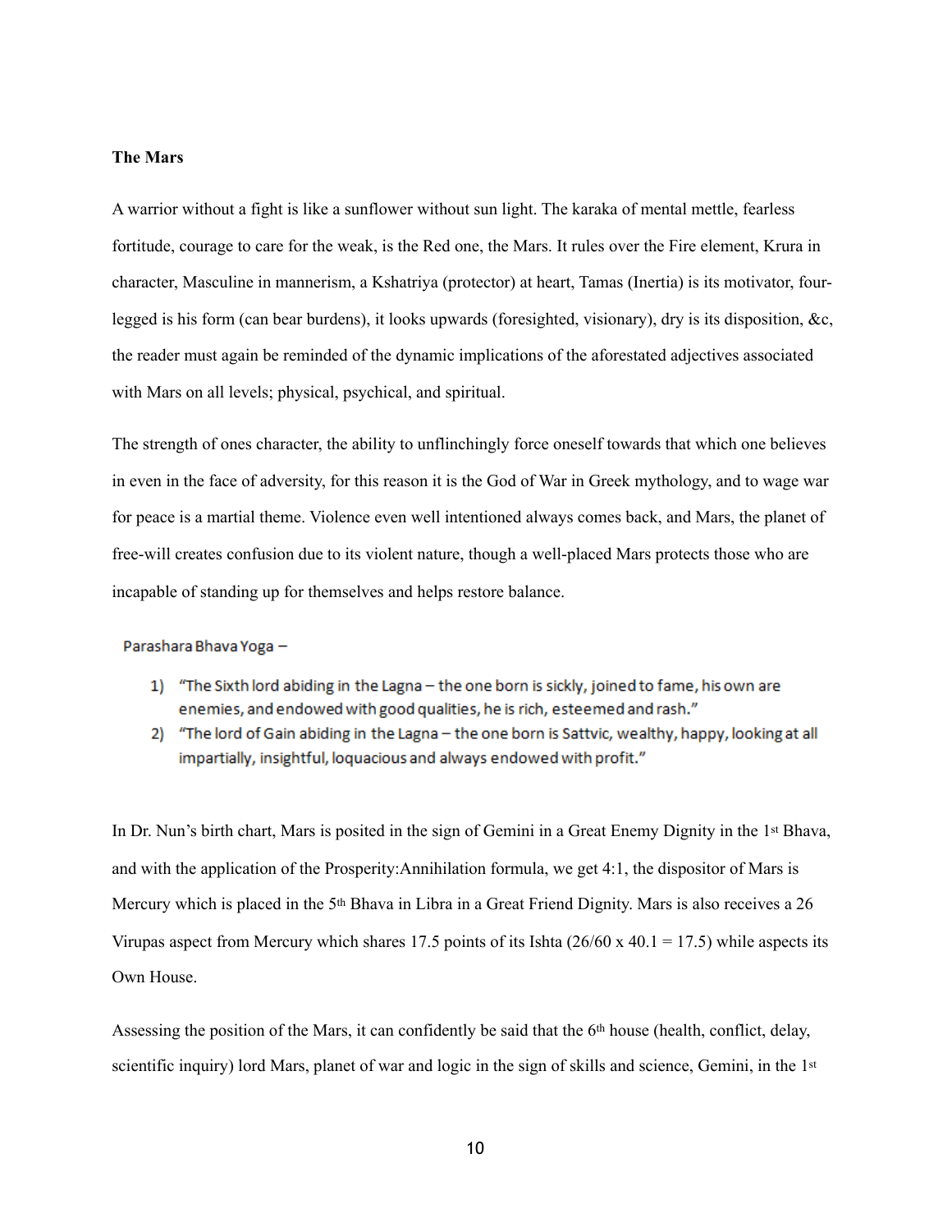## **The Mars**

A warrior without a fight is like a sunflower without sun light. The karaka of mental mettle, fearless fortitude, courage to care for the weak, is the Red one, the Mars. It rules over the Fire element, Krura in character, Masculine in mannerism, a Kshatriya (protector) at heart, Tamas (Inertia) is its motivator, fourlegged is his form (can bear burdens), it looks upwards (foresighted, visionary), dry is its disposition, &c, the reader must again be reminded of the dynamic implications of the aforestated adjectives associated with Mars on all levels; physical, psychical, and spiritual.

The strength of ones character, the ability to unflinchingly force oneself towards that which one believes in even in the face of adversity, for this reason it is the God of War in Greek mythology, and to wage war for peace is a martial theme. Violence even well intentioned always comes back, and Mars, the planet of free-will creates confusion due to its violent nature, though a well-placed Mars protects those who are incapable of standing up for themselves and helps restore balance.

Parashara Bhava Yoga -

- 1) "The Sixth lord abiding in the Lagna the one born is sickly, joined to fame, his own are enemies, and endowed with good qualities, he is rich, esteemed and rash."
- 2) "The lord of Gain abiding in the Lagna the one born is Sattvic, wealthy, happy, looking at all impartially, insightful, loquacious and always endowed with profit."

In Dr. Nun's birth chart, Mars is posited in the sign of Gemini in a Great Enemy Dignity in the 1st Bhava, and with the application of the Prosperity:Annihilation formula, we get 4:1, the dispositor of Mars is Mercury which is placed in the 5th Bhava in Libra in a Great Friend Dignity. Mars is also receives a 26 Virupas aspect from Mercury which shares 17.5 points of its Ishta  $(26/60 \times 40.1 = 17.5)$  while aspects its Own House.

Assessing the position of the Mars, it can confidently be said that the 6th house (health, conflict, delay, scientific inquiry) lord Mars, planet of war and logic in the sign of skills and science, Gemini, in the 1<sup>st</sup>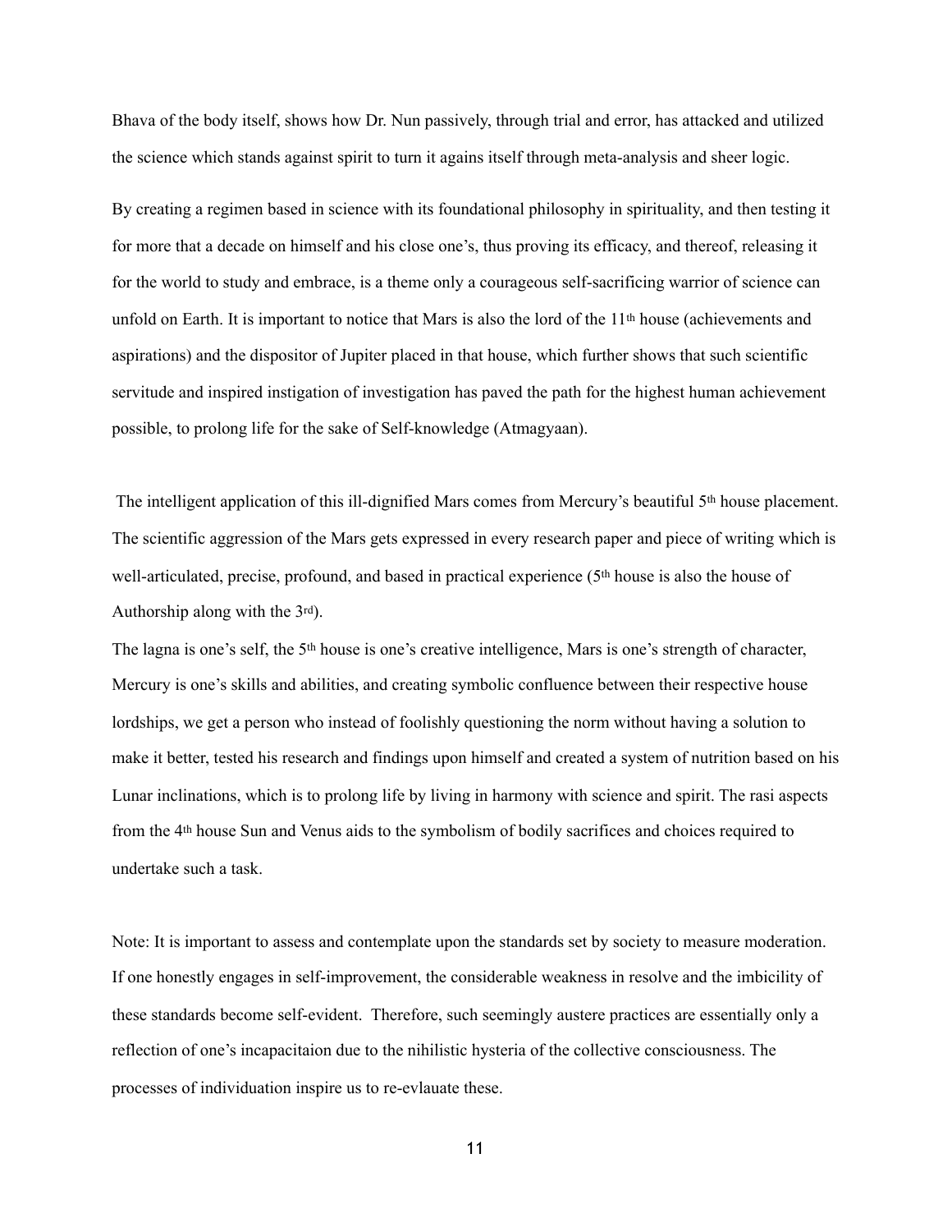Bhava of the body itself, shows how Dr. Nun passively, through trial and error, has attacked and utilized the science which stands against spirit to turn it agains itself through meta-analysis and sheer logic.

By creating a regimen based in science with its foundational philosophy in spirituality, and then testing it for more that a decade on himself and his close one's, thus proving its efficacy, and thereof, releasing it for the world to study and embrace, is a theme only a courageous self-sacrificing warrior of science can unfold on Earth. It is important to notice that Mars is also the lord of the 11th house (achievements and aspirations) and the dispositor of Jupiter placed in that house, which further shows that such scientific servitude and inspired instigation of investigation has paved the path for the highest human achievement possible, to prolong life for the sake of Self-knowledge (Atmagyaan).

 The intelligent application of this ill-dignified Mars comes from Mercury's beautiful 5th house placement. The scientific aggression of the Mars gets expressed in every research paper and piece of writing which is well-articulated, precise, profound, and based in practical experience (5th house is also the house of Authorship along with the 3rd).

The lagna is one's self, the 5th house is one's creative intelligence, Mars is one's strength of character, Mercury is one's skills and abilities, and creating symbolic confluence between their respective house lordships, we get a person who instead of foolishly questioning the norm without having a solution to make it better, tested his research and findings upon himself and created a system of nutrition based on his Lunar inclinations, which is to prolong life by living in harmony with science and spirit. The rasi aspects from the 4th house Sun and Venus aids to the symbolism of bodily sacrifices and choices required to undertake such a task.

Note: It is important to assess and contemplate upon the standards set by society to measure moderation. If one honestly engages in self-improvement, the considerable weakness in resolve and the imbicility of these standards become self-evident. Therefore, such seemingly austere practices are essentially only a reflection of one's incapacitaion due to the nihilistic hysteria of the collective consciousness. The processes of individuation inspire us to re-evlauate these.